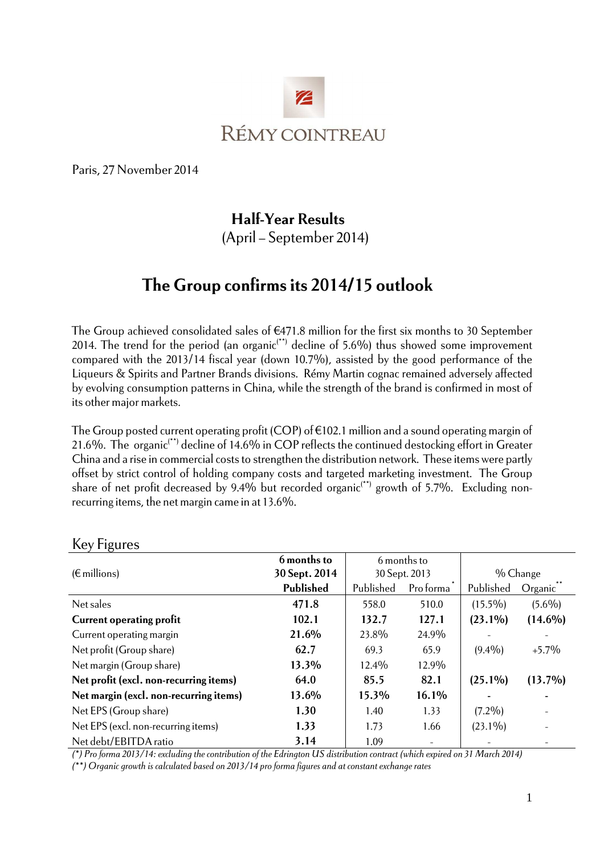

Paris, 27 November 2014

## **Half-Year Results**

(April – September 2014)

# **The Group confirms its 2014/15 outlook**

The Group achieved consolidated sales of €471.8 million for the first six months to 30 September 2014. The trend for the period (an organic<sup>(\*\*)</sup> decline of 5.6%) thus showed some improvement compared with the 2013/14 fiscal year (down 10.7%), assisted by the good performance of the Liqueurs & Spirits and Partner Brands divisions. Rémy Martin cognac remained adversely affected by evolving consumption patterns in China, while the strength of the brand is confirmed in most of its other major markets.

The Group posted current operating profit (COP) of  $\epsilon$ 102.1 million and a sound operating margin of 21.6%. The organic(\*\*) decline of 14.6% in COP reflects the continued destocking effort in Greater China and a rise in commercial costs to strengthen the distribution network. These items were partly offset by strict control of holding company costs and targeted marketing investment. The Group share of net profit decreased by 9.4% but recorded organic<sup>(\*\*)</sup> growth of 5.7%. Excluding nonrecurring items, the net margin came in at 13.6%.

| ◡<br>$(\epsilon$ millions)             | 6 months to<br>30 Sept. 2014 |           | 6 months to<br>30 Sept. 2013 | % Change   |            |
|----------------------------------------|------------------------------|-----------|------------------------------|------------|------------|
|                                        | Published                    | Published | Pro forma                    | Published  | Organic    |
| Net sales                              | 471.8                        | 558.0     | 510.0                        | $(15.5\%)$ | $(5.6\%)$  |
| <b>Current operating profit</b>        | 102.1                        | 132.7     | 127.1                        | $(23.1\%)$ | $(14.6\%)$ |
| Current operating margin               | 21.6%                        | 23.8%     | 24.9%                        |            |            |
| Net profit (Group share)               | 62.7                         | 69.3      | 65.9                         | $(9.4\%)$  | $+5.7\%$   |
| Net margin (Group share)               | 13.3%                        | 12.4%     | 12.9%                        |            |            |
| Net profit (excl. non-recurring items) | 64.0                         | 85.5      | 82.1                         | $(25.1\%)$ | $(13.7\%)$ |
| Net margin (excl. non-recurring items) | 13.6%                        | 15.3%     | 16.1%                        |            |            |
| Net EPS (Group share)                  | 1.30                         | 1.40      | 1.33                         | $(7.2\%)$  |            |
| Net EPS (excl. non-recurring items)    | 1.33                         | 1.73      | 1.66                         | $(23.1\%)$ |            |
| Net debt/EBITDA ratio                  | 3.14                         | 1.09      |                              |            |            |

#### Key Figures

*(\*) Pro forma 2013/14: excluding the contribution of the Edrington US distribution contract (which expired on 31 March 2014)* 

*(\*\*) Organic growth is calculated based on 2013/14 pro forma figures and at constant exchange rates*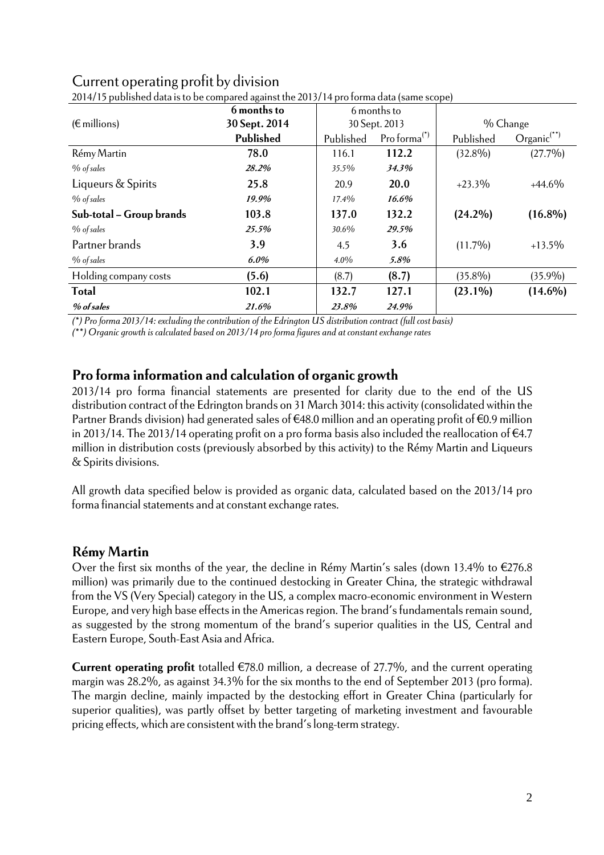| 2014/15 published data is to be compared against the 2013/14 pro forma data (same scope) |               |             |                |            |                  |  |
|------------------------------------------------------------------------------------------|---------------|-------------|----------------|------------|------------------|--|
|                                                                                          | 6 months to   | 6 months to |                |            |                  |  |
| $(\epsilon$ millions)                                                                    | 30 Sept. 2014 |             | 30 Sept. 2013  |            | % Change         |  |
|                                                                                          | Published     | Published   | Proforma $(5)$ | Published  | $Organic^{(**)}$ |  |
| Rémy Martin                                                                              | 78.0          | 116.1       | 112.2          | $(32.8\%)$ | $(27.7\%)$       |  |
| $%$ of sales                                                                             | 28.2%         | 35.5%       | 34.3%          |            |                  |  |
| Liqueurs & Spirits                                                                       | 25.8          | 20.9        | 20.0           | $+23.3\%$  | $+44.6\%$        |  |
| $%$ of sales                                                                             | 19.9%         | $17.4\%$    | 16.6%          |            |                  |  |
| Sub-total - Group brands                                                                 | 103.8         | 137.0       | 132.2          | $(24.2\%)$ | $(16.8\%)$       |  |
| $%$ of sales                                                                             | 25.5%         | 30.6%       | 29.5%          |            |                  |  |
| Partner brands                                                                           | 3.9           | 4.5         | 3.6            | $(11.7\%)$ | $+13.5\%$        |  |
| $%$ of sales                                                                             | $6.0\%$       | $4.0\%$     | 5.8%           |            |                  |  |
| Holding company costs                                                                    | (5.6)         | (8.7)       | (8.7)          | $(35.8\%)$ | $(35.9\%)$       |  |
| <b>Total</b>                                                                             | 102.1         | 132.7       | 127.1          | $(23.1\%)$ | $(14.6\%)$       |  |
| % of sales                                                                               | 21.6%         | 23.8%       | 24.9%          |            |                  |  |

# Current operating profit by division

*(\*) Pro forma 2013/14: excluding the contribution of the Edrington US distribution contract (full cost basis)* 

*(\*\*) Organic growth is calculated based on 2013/14 pro forma figures and at constant exchange rates* 

#### **Pro forma information and calculation of organic growth**

2013/14 pro forma financial statements are presented for clarity due to the end of the US distribution contract of the Edrington brands on 31 March 3014: this activity (consolidated within the Partner Brands division) had generated sales of  $\epsilon$ 48.0 million and an operating profit of  $\epsilon$ 0.9 million in 2013/14. The 2013/14 operating profit on a pro forma basis also included the reallocation of €4.7 million in distribution costs (previously absorbed by this activity) to the Rémy Martin and Liqueurs & Spirits divisions.

All growth data specified below is provided as organic data, calculated based on the 2013/14 pro forma financial statements and at constant exchange rates.

#### **Rémy Martin**

Over the first six months of the year, the decline in Rémy Martin's sales (down 13.4% to €276.8 million) was primarily due to the continued destocking in Greater China, the strategic withdrawal from the VS (Very Special) category in the US, a complex macro-economic environment in Western Europe, and very high base effects in the Americas region. The brand's fundamentals remain sound, as suggested by the strong momentum of the brand's superior qualities in the US, Central and Eastern Europe, South-East Asia and Africa.

**Current operating profit** totalled €78.0 million, a decrease of 27.7%, and the current operating margin was 28.2%, as against 34.3% for the six months to the end of September 2013 (pro forma). The margin decline, mainly impacted by the destocking effort in Greater China (particularly for superior qualities), was partly offset by better targeting of marketing investment and favourable pricing effects, which are consistent with the brand's long-term strategy.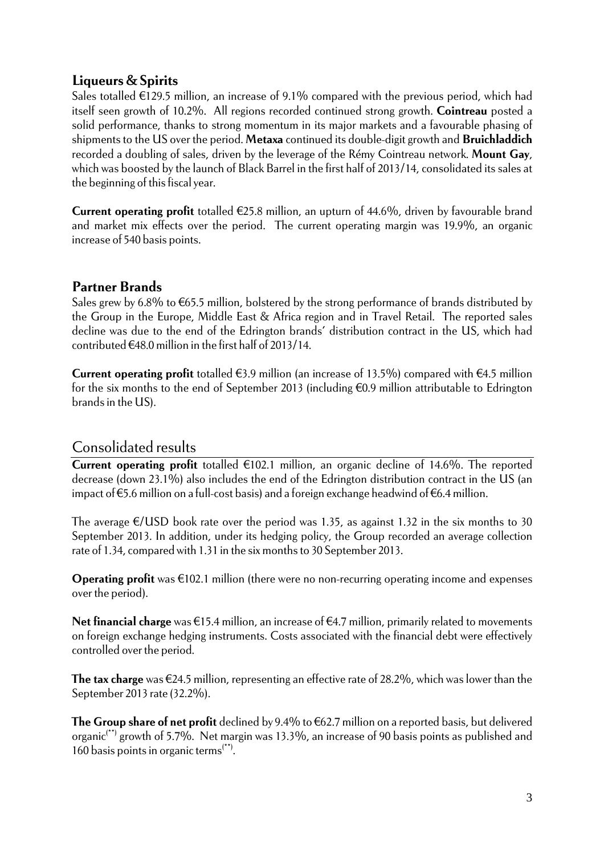### **Liqueurs & Spirits**

Sales totalled  $\epsilon$ 129.5 million, an increase of 9.1% compared with the previous period, which had itself seen growth of 10.2%. All regions recorded continued strong growth. **Cointreau** posted a solid performance, thanks to strong momentum in its major markets and a favourable phasing of shipments to the US over the period. **Metaxa** continued its double-digit growth and **Bruichladdich** recorded a doubling of sales, driven by the leverage of the Rémy Cointreau network. **Mount Gay**, which was boosted by the launch of Black Barrel in the first half of 2013/14, consolidated its sales at the beginning of this fiscal year.

**Current operating profit** totalled €25.8 million, an upturn of 44.6%, driven by favourable brand and market mix effects over the period. The current operating margin was 19.9%, an organic increase of 540 basis points.

### **Partner Brands**

Sales grew by 6.8% to  $\epsilon$ 65.5 million, bolstered by the strong performance of brands distributed by the Group in the Europe, Middle East & Africa region and in Travel Retail. The reported sales decline was due to the end of the Edrington brands' distribution contract in the US, which had contributed  $\epsilon$ 48.0 million in the first half of 2013/14.

**Current operating profit** totalled  $\epsilon$ 3.9 million (an increase of 13.5%) compared with  $\epsilon$ 4.5 million for the six months to the end of September 2013 (including €0.9 million attributable to Edrington brands in the US).

### Consolidated results

**Current operating profit** totalled €102.1 million, an organic decline of 14.6%. The reported decrease (down 23.1%) also includes the end of the Edrington distribution contract in the US (an impact of €5.6 million on a full-cost basis) and a foreign exchange headwind of €6.4 million.

The average  $\epsilon$ /USD book rate over the period was 1.35, as against 1.32 in the six months to 30 September 2013. In addition, under its hedging policy, the Group recorded an average collection rate of 1.34, compared with 1.31 in the six months to 30 September 2013.

**Operating profit** was €102.1 million (there were no non-recurring operating income and expenses over the period).

**Net financial charge** was €15.4 million, an increase of €4.7 million, primarily related to movements on foreign exchange hedging instruments. Costs associated with the financial debt were effectively controlled over the period.

**The tax charge** was €24.5 million, representing an effective rate of 28.2%, which was lower than the September 2013 rate (32.2%).

**The Group share of net profit** declined by 9.4% to €62.7 million on a reported basis, but delivered organic(\*\*) growth of 5.7%. Net margin was 13.3%, an increase of 90 basis points as published and 160 basis points in organic terms<sup>(\*\*)</sup>.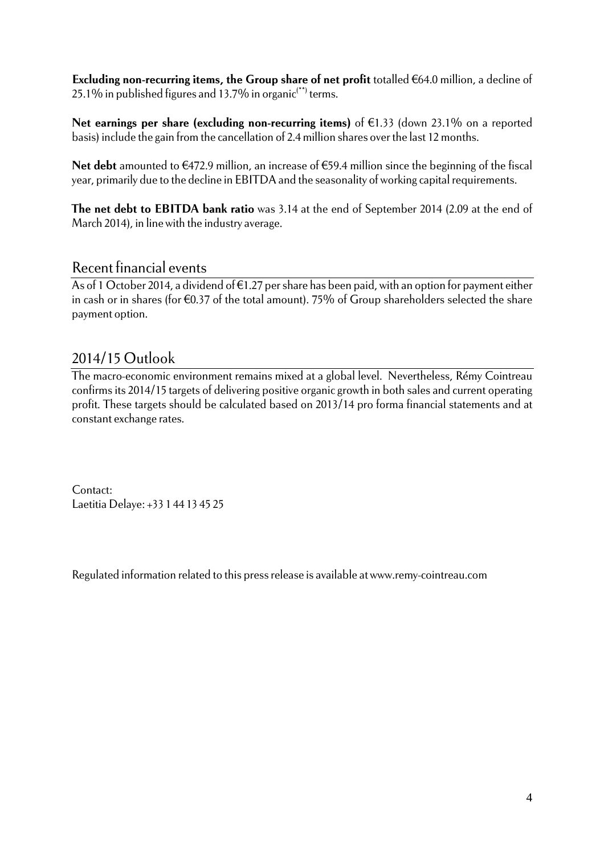**Excluding non-recurring items, the Group share of net profit** totalled €64.0 million, a decline of 25.1% in published figures and 13.7% in organic<sup> $(*)$ </sup> terms.

**Net earnings per share (excluding non-recurring items)** of €1.33 (down 23.1% on a reported basis) include the gain from the cancellation of 2.4 million shares over the last 12 months.

**Net debt** amounted to €472.9 million, an increase of €59.4 million since the beginning of the fiscal year, primarily due to the decline in EBITDA and the seasonality of working capital requirements.

**The net debt to EBITDA bank ratio** was 3.14 at the end of September 2014 (2.09 at the end of March 2014), in line with the industry average.

#### Recent financial events

As of 1 October 2014, a dividend of €1.27 per share has been paid, with an option for payment either in cash or in shares (for €0.37 of the total amount). 75% of Group shareholders selected the share payment option.

## 2014/15 Outlook

The macro-economic environment remains mixed at a global level. Nevertheless, Rémy Cointreau confirms its 2014/15 targets of delivering positive organic growth in both sales and current operating profit. These targets should be calculated based on 2013/14 pro forma financial statements and at constant exchange rates.

Contact: Laetitia Delaye: +33 1 44 13 45 25

Regulated information related to this press release is available at www.remy-cointreau.com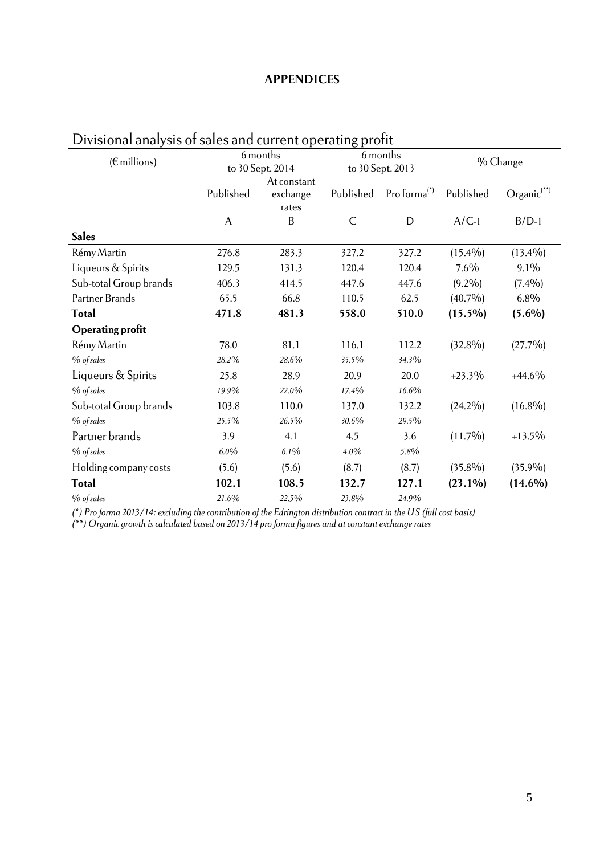#### **APPENDICES**

| Divisional analysis of sales and current operating pront |                              |          |                              |                 |            |                     |  |
|----------------------------------------------------------|------------------------------|----------|------------------------------|-----------------|------------|---------------------|--|
| $(\epsilon$ millions)                                    | 6 months<br>to 30 Sept. 2014 |          | 6 months<br>to 30 Sept. 2013 |                 | % Change   |                     |  |
|                                                          | At constant                  |          |                              |                 |            |                     |  |
|                                                          | Published                    | exchange | Published                    | Pro forma $(*)$ | Published  | $O$ rgani $c^{(*)}$ |  |
|                                                          |                              | rates    |                              |                 |            |                     |  |
|                                                          | A                            | B        | $\mathsf{C}$                 | D               | $A/C-1$    | $B/D-1$             |  |
| <b>Sales</b>                                             |                              |          |                              |                 |            |                     |  |
| Rémy Martin                                              | 276.8                        | 283.3    | 327.2                        | 327.2           | $(15.4\%)$ | $(13.4\%)$          |  |
| Liqueurs & Spirits                                       | 129.5                        | 131.3    | 120.4                        | 120.4           | $7.6\%$    | $9.1\%$             |  |
| Sub-total Group brands                                   | 406.3                        | 414.5    | 447.6                        | 447.6           | $(9.2\%)$  | $(7.4\%)$           |  |
| Partner Brands                                           | 65.5                         | 66.8     | 110.5                        | 62.5            | $(40.7\%)$ | $6.8\%$             |  |
| <b>Total</b>                                             | 471.8                        | 481.3    | 558.0                        | 510.0           | $(15.5\%)$ | $(5.6\%)$           |  |
| <b>Operating profit</b>                                  |                              |          |                              |                 |            |                     |  |
| Rémy Martin                                              | 78.0                         | 81.1     | 116.1                        | 112.2           | $(32.8\%)$ | $(27.7\%)$          |  |
| % of sales                                               | 28.2%                        | 28.6%    | 35.5%                        | 34.3%           |            |                     |  |
| Liqueurs & Spirits                                       | 25.8                         | 28.9     | 20.9                         | 20.0            | $+23.3\%$  | $+44.6\%$           |  |
| % of sales                                               | 19.9%                        | 22.0%    | 17.4%                        | 16.6%           |            |                     |  |
| Sub-total Group brands                                   | 103.8                        | 110.0    | 137.0                        | 132.2           | $(24.2\%)$ | $(16.8\%)$          |  |
| $%$ of sales                                             | 25.5%                        | 26.5%    | 30.6%                        | 29.5%           |            |                     |  |
| Partner brands                                           | 3.9                          | 4.1      | 4.5                          | 3.6             | $(11.7\%)$ | $+13.5\%$           |  |
| $%$ of sales                                             | 6.0%                         | 6.1%     | 4.0%                         | 5.8%            |            |                     |  |
| Holding company costs                                    | (5.6)                        | (5.6)    | (8.7)                        | (8.7)           | $(35.8\%)$ | $(35.9\%)$          |  |
| <b>Total</b>                                             | 102.1                        | 108.5    | 132.7                        | 127.1           | $(23.1\%)$ | $(14.6\%)$          |  |
| % of sales                                               | 21.6%                        | 22.5%    | 23.8%                        | 24.9%           |            |                     |  |

## Divisional analysis of sales and current operating profit

*(\*) Pro forma 2013/14: excluding the contribution of the Edrington distribution contract in the US (full cost basis)* 

*(\*\*) Organic growth is calculated based on 2013/14 pro forma figures and at constant exchange rates*